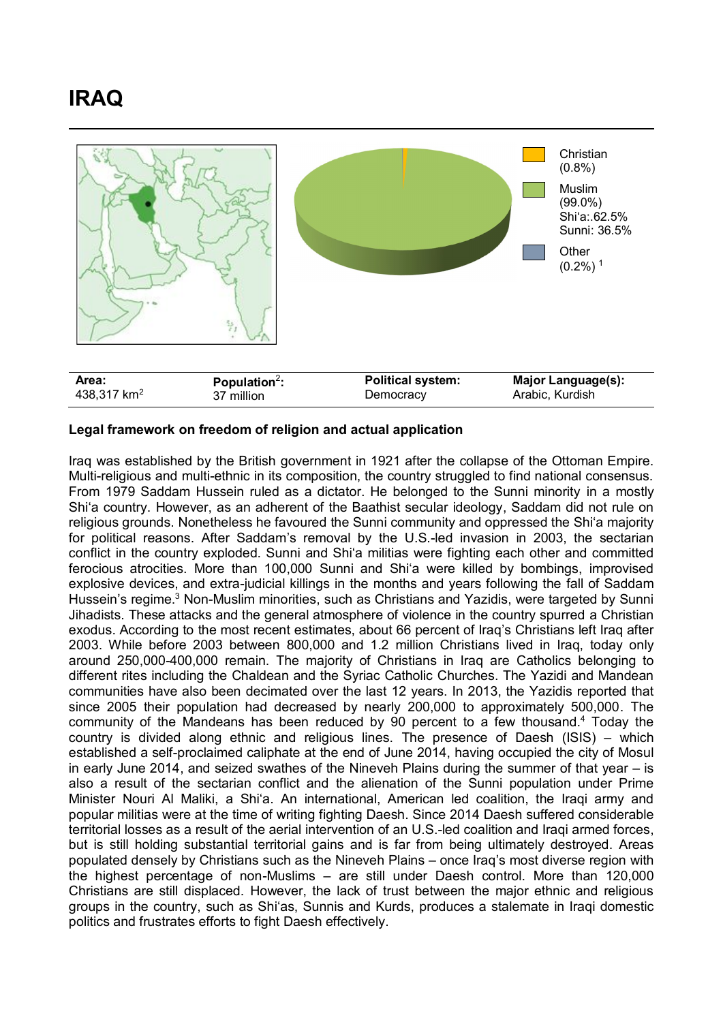## **IRAQ**



## **Legal framework on freedom of religion and actual application**

Iraq was established by the British government in 1921 after the collapse of the Ottoman Empire. Multi-religious and multi-ethnic in its composition, the country struggled to find national consensus. From 1979 Saddam Hussein ruled as a dictator. He belonged to the Sunni minority in a mostly Shi'a country. However, as an adherent of the Baathist secular ideology, Saddam did not rule on religious grounds. Nonetheless he favoured the Sunni community and oppressed the Shi'a majority for political reasons. After Saddam's removal by the U.S.-led invasion in 2003, the sectarian conflict in the country exploded. Sunni and Shi'a militias were fighting each other and committed ferocious atrocities. More than 100,000 Sunni and Shi'a were killed by bombings, improvised explosive devices, and extra-judicial killings in the months and years following the fall of Saddam Hussein's regime.<sup>3</sup> Non-Muslim minorities, such as Christians and Yazidis, were targeted by Sunni Jihadists. These attacks and the general atmosphere of violence in the country spurred a Christian exodus. According to the most recent estimates, about 66 percent of Iraq's Christians left Iraq after 2003. While before 2003 between 800,000 and 1.2 million Christians lived in Iraq, today only around 250,000-400,000 remain. The majority of Christians in Iraq are Catholics belonging to different rites including the Chaldean and the Syriac Catholic Churches. The Yazidi and Mandean communities have also been decimated over the last 12 years. In 2013, the Yazidis reported that since 2005 their population had decreased by nearly 200,000 to approximately 500,000. The community of the Mandeans has been reduced by 90 percent to a few thousand. <sup>4</sup> Today the country is divided along ethnic and religious lines. The presence of Daesh (ISIS) – which established a self-proclaimed caliphate at the end of June 2014, having occupied the city of Mosul in early June 2014, and seized swathes of the Nineveh Plains during the summer of that year – is also a result of the sectarian conflict and the alienation of the Sunni population under Prime Minister Nouri Al Maliki, a Shi'a. An international, American led coalition, the Iraqi army and popular militias were at the time of writing fighting Daesh. Since 2014 Daesh suffered considerable territorial losses as a result of the aerial intervention of an U.S.-led coalition and Iraqi armed forces, but is still holding substantial territorial gains and is far from being ultimately destroyed. Areas populated densely by Christians such as the Nineveh Plains – once Iraq's most diverse region with the highest percentage of non-Muslims – are still under Daesh control. More than 120,000 Christians are still displaced. However, the lack of trust between the major ethnic and religious groups in the country, such as Shi'as, Sunnis and Kurds, produces a stalemate in Iraqi domestic politics and frustrates efforts to fight Daesh effectively.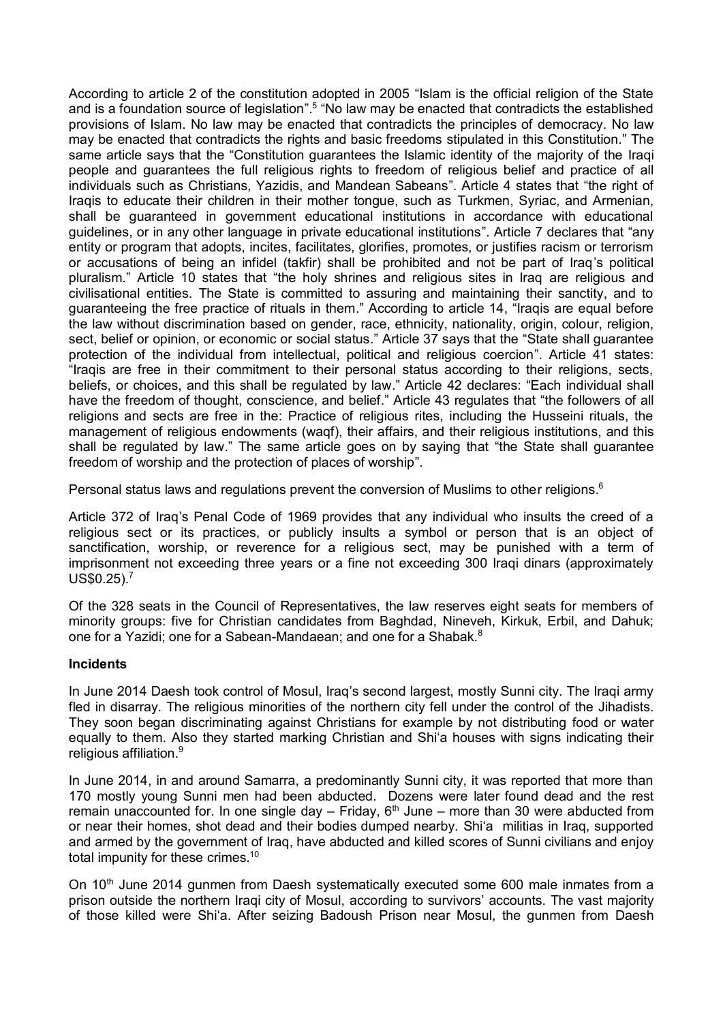According to article 2 of the constitution adopted in 2005 "Islam is the official religion of the State and is a foundation source of legislation".<sup>5</sup> "No law may be enacted that contradicts the established provisions of Islam. No law may be enacted that contradicts the principles of democracy. No law may be enacted that contradicts the rights and basic freedoms stipulated in this Constitution." The same article says that the "Constitution guarantees the Islamic identity of the majority of the Iraqi people and guarantees the full religious rights to freedom of religious belief and practice of all individuals such as Christians, Yazidis, and Mandean Sabeans". Article 4 states that "the right of Iraqis to educate their children in their mother tongue, such as Turkmen, Syriac, and Armenian, shall be guaranteed in government educational institutions in accordance with educational guidelines, or in any other language in private educational institutions". Article 7 declares that "any entity or program that adopts, incites, facilitates, glorifies, promotes, or justifies racism or terrorism or accusations of being an infidel (takfir) shall be prohibited and not be part of Iraq's political pluralism." Article 10 states that "the holy shrines and religious sites in Iraq are religious and civilisational entities. The State is committed to assuring and maintaining their sanctity, and to guaranteeing the free practice of rituals in them." According to article 14, "Iraqis are equal before the law without discrimination based on gender, race, ethnicity, nationality, origin, colour, religion, sect, belief or opinion, or economic or social status." Article 37 says that the "State shall guarantee protection of the individual from intellectual, political and religious coercion". Article 41 states: "Iraqis are free in their commitment to their personal status according to their religions, sects, beliefs, or choices, and this shall be regulated by law." Article 42 declares: "Each individual shall have the freedom of thought, conscience, and belief." Article 43 regulates that "the followers of all religions and sects are free in the: Practice of religious rites, including the Husseini rituals, the management of religious endowments (waqf), their affairs, and their religious institutions, and this shall be regulated by law." The same article goes on by saying that "the State shall guarantee freedom of worship and the protection of places of worship".

Personal status laws and regulations prevent the conversion of Muslims to other religions.<sup>6</sup>

Article 372 of Iraq's Penal Code of 1969 provides that any individual who insults the creed of a religious sect or its practices, or publicly insults a symbol or person that is an object of sanctification, worship, or reverence for a religious sect, may be punished with a term of imprisonment not exceeding three years or a fine not exceeding 300 Iraqi dinars (approximately  $USS0.25$ ).<sup>7</sup>

Of the 328 seats in the Council of Representatives, the law reserves eight seats for members of minority groups: five for Christian candidates from Baghdad, Nineveh, Kirkuk, Erbil, and Dahuk; one for a Yazidi; one for a Sabean-Mandaean; and one for a Shabak.<sup>8</sup>

## **Incidents**

In June 2014 Daesh took control of Mosul, Iraq's second largest, mostly Sunni city. The Iraqi army fled in disarray. The religious minorities of the northern city fell under the control of the Jihadists. They soon began discriminating against Christians for example by not distributing food or water equally to them. Also they started marking Christian and Shi'a houses with signs indicating their religious affiliation.<sup>9</sup>

In June 2014, in and around Samarra, a predominantly Sunni city, it was reported that more than 170 mostly young Sunni men had been abducted. Dozens were later found dead and the rest remain unaccounted for. In one single day  $-$  Friday,  $6<sup>th</sup>$  June  $-$  more than 30 were abducted from or near their homes, shot dead and their bodies dumped nearby. Shi'a militias in Iraq, supported and armed by the government of Iraq, have abducted and killed scores of Sunni civilians and enjoy total impunity for these crimes.<sup>10</sup>

On 10<sup>th</sup> June 2014 gunmen from Daesh systematically executed some 600 male inmates from a prison outside the northern Iraqi city of Mosul, according to survivors' accounts. The vast majority of those killed were Shi'a. After seizing Badoush Prison near Mosul, the gunmen from Daesh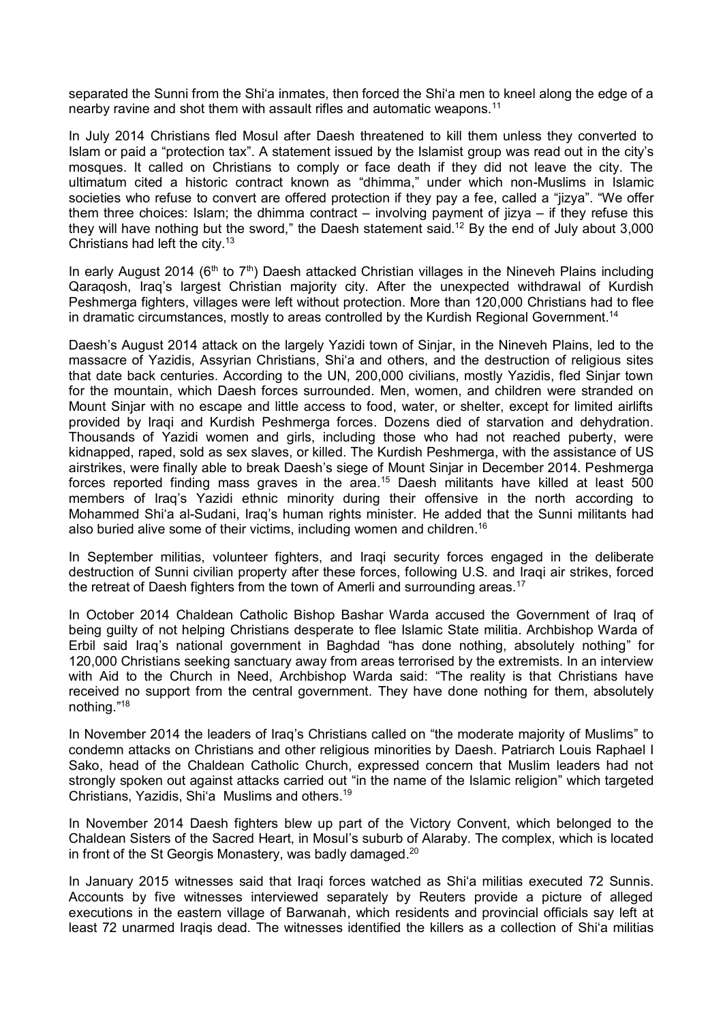separated the Sunni from the Shi'a inmates, then forced the Shi'a men to kneel along the edge of a nearby ravine and shot them with assault rifles and automatic weapons.<sup>11</sup>

In July 2014 Christians fled Mosul after Daesh threatened to kill them unless they converted to Islam or paid a "protection tax". A statement issued by the Islamist group was read out in the city's mosques. It called on Christians to comply or face death if they did not leave the city. The ultimatum cited a historic contract known as "dhimma," under which non-Muslims in Islamic societies who refuse to convert are offered protection if they pay a fee, called a "jizya". "We offer them three choices: Islam; the dhimma contract – involving payment of jizya – if they refuse this they will have nothing but the sword," the Daesh statement said.<sup>12</sup> By the end of July about 3,000 Christians had left the city.<sup>13</sup>

In early August 2014 ( $6<sup>th</sup>$  to  $7<sup>th</sup>$ ) Daesh attacked Christian villages in the Nineveh Plains including Qaraqosh, Iraq's largest Christian majority city. After the unexpected withdrawal of Kurdish Peshmerga fighters, villages were left without protection. More than 120,000 Christians had to flee in dramatic circumstances, mostly to areas controlled by the Kurdish Regional Government.<sup>14</sup>

Daesh's August 2014 attack on the largely Yazidi town of Sinjar, in the Nineveh Plains, led to the massacre of Yazidis, Assyrian Christians, Shi'a and others, and the destruction of religious sites that date back centuries. According to the UN, 200,000 civilians, mostly Yazidis, fled Sinjar town for the mountain, which Daesh forces surrounded. Men, women, and children were stranded on Mount Sinjar with no escape and little access to food, water, or shelter, except for limited airlifts provided by Iraqi and Kurdish Peshmerga forces. Dozens died of starvation and dehydration. Thousands of Yazidi women and girls, including those who had not reached puberty, were kidnapped, raped, sold as sex slaves, or killed. The Kurdish Peshmerga, with the assistance of US airstrikes, were finally able to break Daesh's siege of Mount Sinjar in December 2014. Peshmerga forces reported finding mass graves in the area.<sup>15</sup> Daesh militants have killed at least 500 members of Iraq's Yazidi ethnic minority during their offensive in the north according to Mohammed Shi'a al-Sudani, Iraq's human rights minister. He added that the Sunni militants had also buried alive some of their victims, including women and children.<sup>16</sup>

In September militias, volunteer fighters, and Iraqi security forces engaged in the deliberate destruction of Sunni civilian property after these forces, following U.S. and Iraqi air strikes, forced the retreat of Daesh fighters from the town of Amerli and surrounding areas.<sup>17</sup>

In October 2014 Chaldean Catholic Bishop Bashar Warda accused the Government of Iraq of being guilty of not helping Christians desperate to flee Islamic State militia. Archbishop Warda of Erbil said Iraq's national government in Baghdad "has done nothing, absolutely nothing" for 120,000 Christians seeking sanctuary away from areas terrorised by the extremists. In an interview with Aid to the Church in Need, Archbishop Warda said: "The reality is that Christians have received no support from the central government. They have done nothing for them, absolutely nothing."<sup>18</sup>

In November 2014 the leaders of Iraq's Christians called on "the moderate majority of Muslims" to condemn attacks on Christians and other religious minorities by Daesh. Patriarch Louis Raphael I Sako, head of the Chaldean Catholic Church, expressed concern that Muslim leaders had not strongly spoken out against attacks carried out "in the name of the Islamic religion" which targeted Christians, Yazidis, Shi'a Muslims and others.<sup>19</sup>

In November 2014 Daesh fighters blew up part of the Victory Convent, which belonged to the Chaldean Sisters of the Sacred Heart, in Mosul's suburb of Alaraby. The complex, which is located in front of the St Georgis Monastery, was badly damaged.<sup>20</sup>

In January 2015 witnesses said that Iraqi forces watched as Shi'a militias executed 72 Sunnis. Accounts by five witnesses interviewed separately by Reuters provide a picture of alleged executions in the eastern village of Barwanah, which residents and provincial officials say left at least 72 unarmed Iraqis dead. The witnesses identified the killers as a collection of Shi'a militias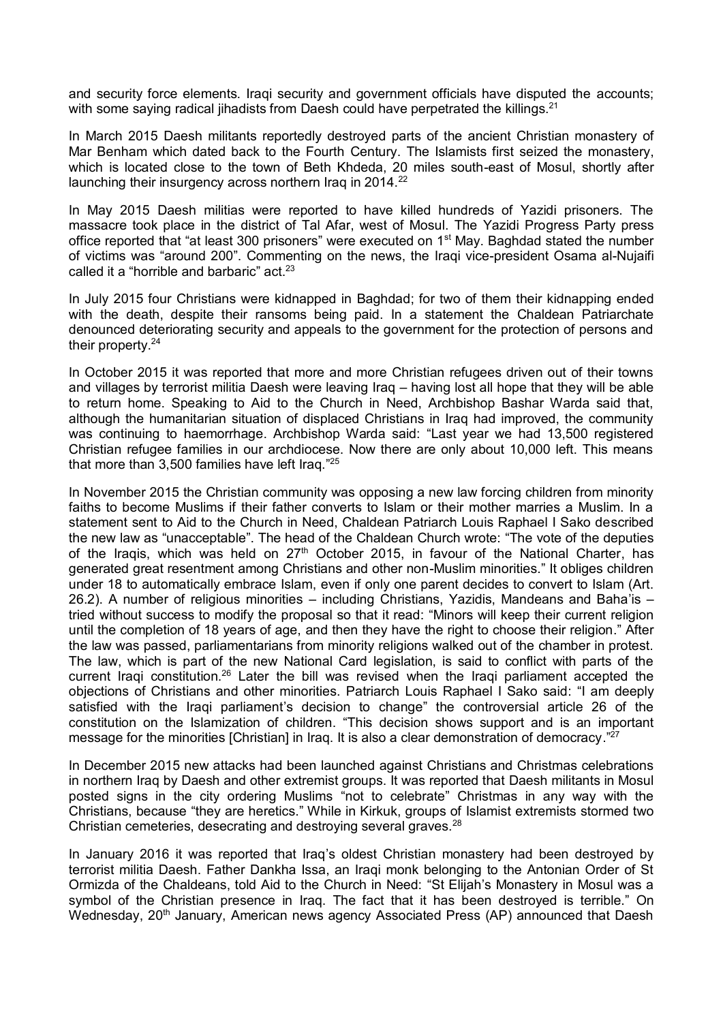and security force elements. Iraqi security and government officials have disputed the accounts; with some saying radical jihadists from Daesh could have perpetrated the killings. $21$ 

In March 2015 Daesh militants reportedly destroyed parts of the ancient Christian monastery of Mar Benham which dated back to the Fourth Century. The Islamists first seized the monastery, which is located close to the town of Beth Khdeda, 20 miles south-east of Mosul, shortly after launching their insurgency across northern Iraq in 2014.<sup>22</sup>

In May 2015 Daesh militias were reported to have killed hundreds of Yazidi prisoners. The massacre took place in the district of Tal Afar, west of Mosul. The Yazidi Progress Party press office reported that "at least 300 prisoners" were executed on 1<sup>st</sup> May. Baghdad stated the number of victims was "around 200". Commenting on the news, the Iraqi vice-president Osama al-Nujaifi called it a "horrible and barbaric"  $act.^{23}$ 

In July 2015 four Christians were kidnapped in Baghdad; for two of them their kidnapping ended with the death, despite their ransoms being paid. In a statement the Chaldean Patriarchate denounced deteriorating security and appeals to the government for the protection of persons and their property.<sup>24</sup>

In October 2015 it was reported that more and more Christian refugees driven out of their towns and villages by terrorist militia Daesh were leaving Iraq – having lost all hope that they will be able to return home. Speaking to Aid to the Church in Need, Archbishop Bashar Warda said that, although the humanitarian situation of displaced Christians in Iraq had improved, the community was continuing to haemorrhage. Archbishop Warda said: "Last year we had 13,500 registered Christian refugee families in our archdiocese. Now there are only about 10,000 left. This means that more than 3,500 families have left Iraq." 25

In November 2015 the Christian community was opposing a new law forcing children from minority faiths to become Muslims if their father converts to Islam or their mother marries a Muslim. In a statement sent to Aid to the Church in Need, Chaldean Patriarch Louis Raphael I Sako described the new law as "unacceptable". The head of the Chaldean Church wrote: "The vote of the deputies of the Iraqis, which was held on  $27<sup>th</sup>$  October 2015, in favour of the National Charter, has generated great resentment among Christians and other non-Muslim minorities." It obliges children under 18 to automatically embrace Islam, even if only one parent decides to convert to Islam (Art. 26.2). A number of religious minorities – including Christians, Yazidis, Mandeans and Baha'is – tried without success to modify the proposal so that it read: "Minors will keep their current religion until the completion of 18 years of age, and then they have the right to choose their religion." After the law was passed, parliamentarians from minority religions walked out of the chamber in protest. The law, which is part of the new National Card legislation, is said to conflict with parts of the current Iraqi constitution.<sup>26</sup> Later the bill was revised when the Iraqi parliament accepted the objections of Christians and other minorities. Patriarch Louis Raphael I Sako said: "I am deeply satisfied with the Iraqi parliament's decision to change" the controversial article 26 of the constitution on the Islamization of children. "This decision shows support and is an important message for the minorities [Christian] in Iraq. It is also a clear demonstration of democracy."<sup>27</sup>

In December 2015 new attacks had been launched against Christians and Christmas celebrations in northern Iraq by Daesh and other extremist groups. It was reported that Daesh militants in Mosul posted signs in the city ordering Muslims "not to celebrate" Christmas in any way with the Christians, because "they are heretics." While in Kirkuk, groups of Islamist extremists stormed two Christian cemeteries, desecrating and destroying several graves.<sup>28</sup>

In January 2016 it was reported that Iraq's oldest Christian monastery had been destroyed by terrorist militia Daesh. Father Dankha Issa, an Iraqi monk belonging to the Antonian Order of St Ormizda of the Chaldeans, told Aid to the Church in Need: "St Elijah's Monastery in Mosul was a symbol of the Christian presence in Iraq. The fact that it has been destroyed is terrible." On Wednesday, 20<sup>th</sup> January, American news agency Associated Press (AP) announced that Daesh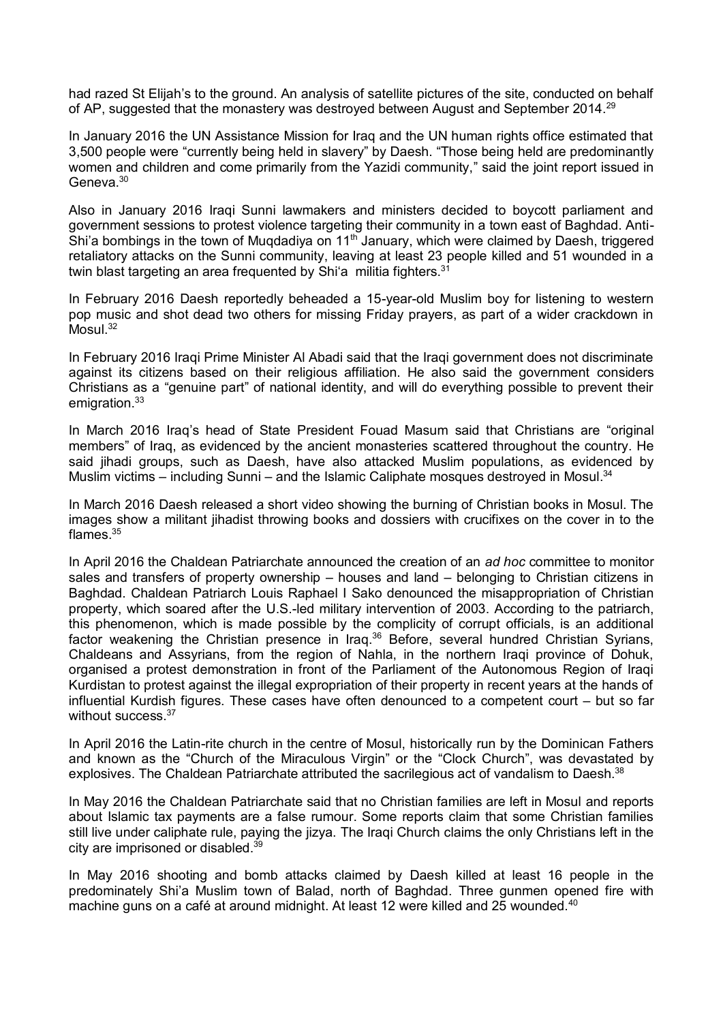had razed St Elijah's to the ground. An analysis of satellite pictures of the site, conducted on behalf of AP, suggested that the monastery was destroyed between August and September 2014.<sup>29</sup>

In January 2016 the UN Assistance Mission for Iraq and the UN human rights office estimated that 3,500 people were "currently being held in slavery" by Daesh. "Those being held are predominantly women and children and come primarily from the Yazidi community," said the joint report issued in Geneva.<sup>30</sup>

Also in January 2016 Iraqi Sunni lawmakers and ministers decided to boycott parliament and government sessions to protest violence targeting their community in a town east of Baghdad. Anti-Shi'a bombings in the town of Mugdadiya on  $11<sup>th</sup>$  January, which were claimed by Daesh, triggered retaliatory attacks on the Sunni community, leaving at least 23 people killed and 51 wounded in a twin blast targeting an area frequented by Shi'a militia fighters.<sup>31</sup>

In February 2016 Daesh reportedly beheaded a 15-year-old Muslim boy for listening to western pop music and shot dead two others for missing Friday prayers, as part of a wider crackdown in Mosul. 32

In February 2016 Iraqi Prime Minister Al Abadi said that the Iraqi government does not discriminate against its citizens based on their religious affiliation. He also said the government considers Christians as a "genuine part" of national identity, and will do everything possible to prevent their emigration.<sup>33</sup>

In March 2016 Iraq's head of State President Fouad Masum said that Christians are "original members" of Iraq, as evidenced by the ancient monasteries scattered throughout the country. He said jihadi groups, such as Daesh, have also attacked Muslim populations, as evidenced by Muslim victims – including Sunni – and the Islamic Caliphate mosques destroyed in Mosul.<sup>34</sup>

In March 2016 Daesh released a short video showing the burning of Christian books in Mosul. The images show a militant jihadist throwing books and dossiers with crucifixes on the cover in to the flames. 35

In April 2016 the Chaldean Patriarchate announced the creation of an *ad hoc* committee to monitor sales and transfers of property ownership – houses and land – belonging to Christian citizens in Baghdad. Chaldean Patriarch Louis Raphael I Sako denounced the misappropriation of Christian property, which soared after the U.S.-led military intervention of 2003. According to the patriarch, this phenomenon, which is made possible by the complicity of corrupt officials, is an additional factor weakening the Christian presence in Iraq.<sup>36</sup> Before, several hundred Christian Syrians, Chaldeans and Assyrians, from the region of Nahla, in the northern Iraqi province of Dohuk, organised a protest demonstration in front of the Parliament of the Autonomous Region of Iraqi Kurdistan to protest against the illegal expropriation of their property in recent years at the hands of influential Kurdish figures. These cases have often denounced to a competent court – but so far without success.<sup>37</sup>

In April 2016 the Latin-rite church in the centre of Mosul, historically run by the Dominican Fathers and known as the "Church of the Miraculous Virgin" or the "Clock Church", was devastated by explosives. The Chaldean Patriarchate attributed the sacrilegious act of vandalism to Daesh.<sup>38</sup>

In May 2016 the Chaldean Patriarchate said that no Christian families are left in Mosul and reports about Islamic tax payments are a false rumour. Some reports claim that some Christian families still live under caliphate rule, paying the jizya. The Iraqi Church claims the only Christians left in the city are imprisoned or disabled. 39

In May 2016 shooting and bomb attacks claimed by Daesh killed at least 16 people in the predominately Shi'a Muslim town of Balad, north of Baghdad. Three gunmen opened fire with machine guns on a café at around midnight. At least 12 were killed and 25 wounded.<sup>40</sup>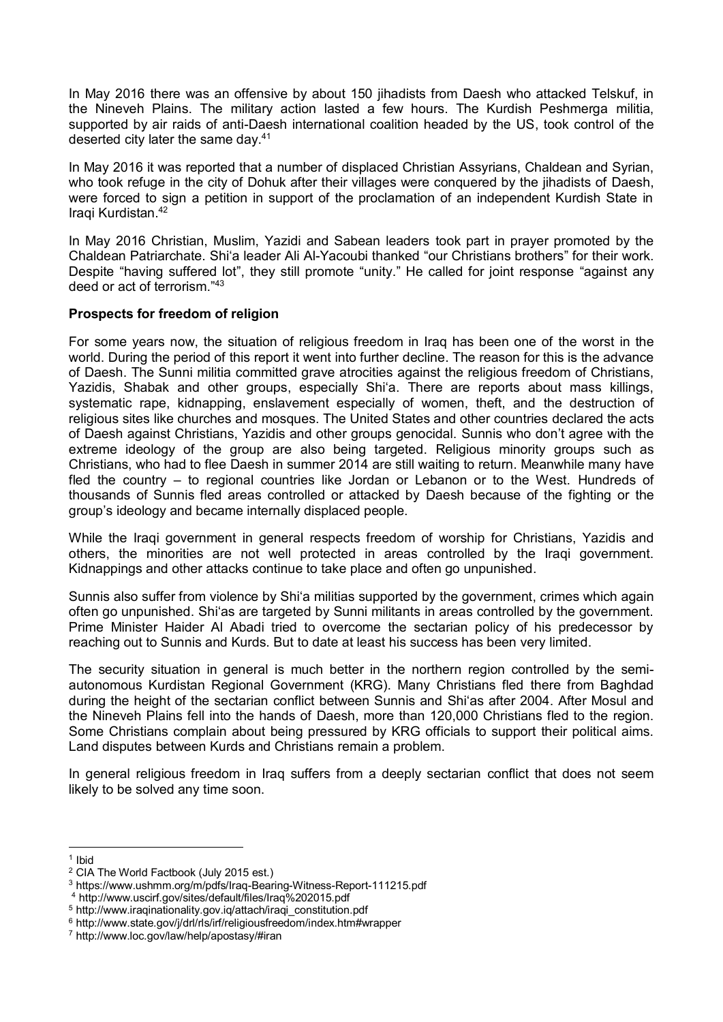In May 2016 there was an offensive by about 150 jihadists from Daesh who attacked Telskuf, in the Nineveh Plains. The military action lasted a few hours. The Kurdish Peshmerga militia, supported by air raids of anti-Daesh international coalition headed by the US, took control of the deserted city later the same day. $41$ 

In May 2016 it was reported that a number of displaced Christian Assyrians, Chaldean and Syrian, who took refuge in the city of Dohuk after their villages were conquered by the jihadists of Daesh, were forced to sign a petition in support of the proclamation of an independent Kurdish State in Iraqi Kurdistan.<sup>42</sup>

In May 2016 Christian, Muslim, Yazidi and Sabean leaders took part in prayer promoted by the Chaldean Patriarchate. Shi'a leader Ali Al-Yacoubi thanked "our Christians brothers" for their work. Despite "having suffered lot", they still promote "unity." He called for joint response "against any deed or act of terrorism." 43

## **Prospects for freedom of religion**

For some years now, the situation of religious freedom in Iraq has been one of the worst in the world. During the period of this report it went into further decline. The reason for this is the advance of Daesh. The Sunni militia committed grave atrocities against the religious freedom of Christians, Yazidis, Shabak and other groups, especially Shi'a. There are reports about mass killings, systematic rape, kidnapping, enslavement especially of women, theft, and the destruction of religious sites like churches and mosques. The United States and other countries declared the acts of Daesh against Christians, Yazidis and other groups genocidal. Sunnis who don't agree with the extreme ideology of the group are also being targeted. Religious minority groups such as Christians, who had to flee Daesh in summer 2014 are still waiting to return. Meanwhile many have fled the country – to regional countries like Jordan or Lebanon or to the West. Hundreds of thousands of Sunnis fled areas controlled or attacked by Daesh because of the fighting or the group's ideology and became internally displaced people.

While the Iraqi government in general respects freedom of worship for Christians, Yazidis and others, the minorities are not well protected in areas controlled by the Iraqi government. Kidnappings and other attacks continue to take place and often go unpunished.

Sunnis also suffer from violence by Shi'a militias supported by the government, crimes which again often go unpunished. Shi'as are targeted by Sunni militants in areas controlled by the government. Prime Minister Haider Al Abadi tried to overcome the sectarian policy of his predecessor by reaching out to Sunnis and Kurds. But to date at least his success has been very limited.

The security situation in general is much better in the northern region controlled by the semiautonomous Kurdistan Regional Government (KRG). Many Christians fled there from Baghdad during the height of the sectarian conflict between Sunnis and Shi'as after 2004. After Mosul and the Nineveh Plains fell into the hands of Daesh, more than 120,000 Christians fled to the region. Some Christians complain about being pressured by KRG officials to support their political aims. Land disputes between Kurds and Christians remain a problem.

In general religious freedom in Iraq suffers from a deeply sectarian conflict that does not seem likely to be solved any time soon.

<sup>1</sup> 1 Ibid

<sup>2</sup> CIA The World Factbook (July 2015 est.)

<sup>3</sup> https://www.ushmm.org/m/pdfs/Iraq-Bearing-Witness-Report-111215.pdf

<sup>4</sup> http://www.uscirf.gov/sites/default/files/Iraq%202015.pdf

<sup>5</sup> http://www.iraqinationality.gov.iq/attach/iraqi\_constitution.pdf

<sup>6</sup> http://www.state.gov/j/drl/rls/irf/religiousfreedom/index.htm#wrapper

<sup>7</sup> http://www.loc.gov/law/help/apostasy/#iran